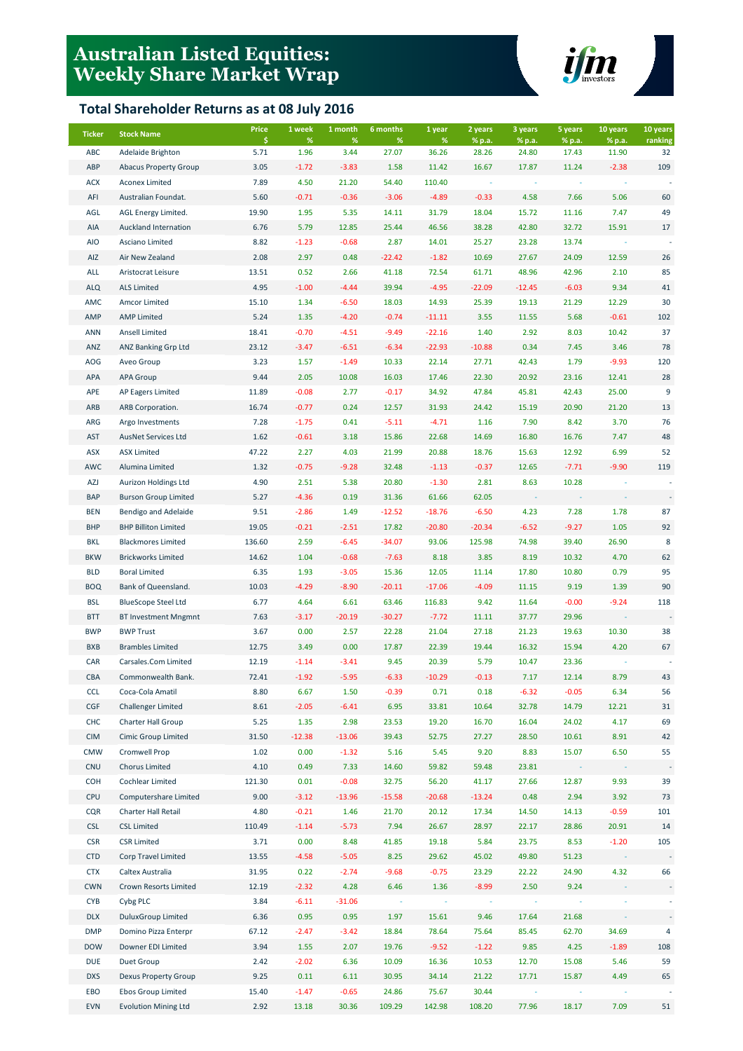## **Australian Listed Equities: Weekly Share Market Wrap**

## **Total Shareholder Returns as at 08 July 2016**



| <b>Ticker</b> | <b>Stock Name</b>            | <b>Price</b> | 1 week    | 1 month      | 6 months      | 1 year     | 2 years          | 3 years         | 5 years         | 10 years        | 10 years      |
|---------------|------------------------------|--------------|-----------|--------------|---------------|------------|------------------|-----------------|-----------------|-----------------|---------------|
| ABC           | Adelaide Brighton            | \$<br>5.71   | %<br>1.96 | $\%$<br>3.44 | $\%$<br>27.07 | %<br>36.26 | % p.a.<br>28.26  | % p.a.<br>24.80 | % p.a.<br>17.43 | % p.a.<br>11.90 | ranking<br>32 |
| ABP           | <b>Abacus Property Group</b> | 3.05         | $-1.72$   | $-3.83$      | 1.58          | 11.42      | 16.67            | 17.87           | 11.24           | $-2.38$         | 109           |
| <b>ACX</b>    | <b>Aconex Limited</b>        | 7.89         | 4.50      | 21.20        | 54.40         | 110.40     |                  |                 |                 |                 |               |
| AFI           | Australian Foundat.          | 5.60         | $-0.71$   | $-0.36$      | $-3.06$       | $-4.89$    | $-0.33$          | 4.58            | 7.66            | 5.06            | 60            |
| AGL           | AGL Energy Limited.          | 19.90        | 1.95      | 5.35         | 14.11         | 31.79      | 18.04            | 15.72           | 11.16           | 7.47            | 49            |
| AIA           | Auckland Internation         | 6.76         | 5.79      | 12.85        | 25.44         | 46.56      | 38.28            | 42.80           | 32.72           | 15.91           | 17            |
| <b>AIO</b>    | Asciano Limited              | 8.82         | $-1.23$   | $-0.68$      | 2.87          | 14.01      | 25.27            | 23.28           | 13.74           |                 |               |
| AIZ           | Air New Zealand              | 2.08         | 2.97      | 0.48         | $-22.42$      | $-1.82$    | 10.69            | 27.67           | 24.09           | 12.59           | 26            |
| ALL           | Aristocrat Leisure           | 13.51        | 0.52      | 2.66         | 41.18         | 72.54      | 61.71            | 48.96           | 42.96           | 2.10            | 85            |
| <b>ALQ</b>    | <b>ALS Limited</b>           | 4.95         | $-1.00$   | $-4.44$      | 39.94         | $-4.95$    | $-22.09$         | $-12.45$        | $-6.03$         | 9.34            | 41            |
| AMC           | Amcor Limited                | 15.10        | 1.34      | $-6.50$      | 18.03         | 14.93      | 25.39            | 19.13           | 21.29           | 12.29           | 30            |
| AMP           | <b>AMP Limited</b>           | 5.24         | 1.35      | $-4.20$      | $-0.74$       | $-11.11$   | 3.55             | 11.55           | 5.68            | $-0.61$         | 102           |
| <b>ANN</b>    | <b>Ansell Limited</b>        | 18.41        | $-0.70$   | $-4.51$      | $-9.49$       | $-22.16$   | 1.40             | 2.92            | 8.03            | 10.42           | 37            |
| ANZ           | <b>ANZ Banking Grp Ltd</b>   | 23.12        | $-3.47$   | $-6.51$      | $-6.34$       | $-22.93$   | $-10.88$         | 0.34            | 7.45            | 3.46            | 78            |
| AOG           | Aveo Group                   | 3.23         | 1.57      | $-1.49$      | 10.33         | 22.14      | 27.71            | 42.43           | 1.79            | $-9.93$         | 120           |
| APA           | <b>APA Group</b>             | 9.44         | 2.05      | 10.08        | 16.03         | 17.46      | 22.30            | 20.92           | 23.16           | 12.41           | 28            |
| APE           | <b>AP Eagers Limited</b>     | 11.89        | $-0.08$   | 2.77         | $-0.17$       | 34.92      | 47.84            | 45.81           | 42.43           | 25.00           | 9             |
| ARB           | ARB Corporation.             | 16.74        | $-0.77$   | 0.24         | 12.57         | 31.93      | 24.42            | 15.19           | 20.90           | 21.20           | 13            |
| ARG           | Argo Investments             | 7.28         | $-1.75$   | 0.41         | $-5.11$       | $-4.71$    | 1.16             | 7.90            | 8.42            | 3.70            | 76            |
| <b>AST</b>    | <b>AusNet Services Ltd</b>   | 1.62         | $-0.61$   | 3.18         | 15.86         | 22.68      | 14.69            | 16.80           | 16.76           | 7.47            | 48            |
|               | <b>ASX Limited</b>           | 47.22        | 2.27      | 4.03         | 21.99         | 20.88      |                  |                 |                 | 6.99            | 52            |
| ASX           |                              |              |           |              |               |            | 18.76<br>$-0.37$ | 15.63           | 12.92           | $-9.90$         | 119           |
| AWC           | Alumina Limited              | 1.32         | $-0.75$   | $-9.28$      | 32.48         | $-1.13$    |                  | 12.65           | $-7.71$         |                 |               |
| AZJ           | Aurizon Holdings Ltd         | 4.90         | 2.51      | 5.38         | 20.80         | $-1.30$    | 2.81             | 8.63            | 10.28           |                 |               |
| <b>BAP</b>    | <b>Burson Group Limited</b>  | 5.27         | $-4.36$   | 0.19         | 31.36         | 61.66      | 62.05            |                 |                 |                 |               |
| <b>BEN</b>    | Bendigo and Adelaide         | 9.51         | $-2.86$   | 1.49         | $-12.52$      | $-18.76$   | $-6.50$          | 4.23            | 7.28            | 1.78            | 87            |
| <b>BHP</b>    | <b>BHP Billiton Limited</b>  | 19.05        | $-0.21$   | $-2.51$      | 17.82         | $-20.80$   | $-20.34$         | $-6.52$         | $-9.27$         | 1.05            | 92            |
| BKL           | <b>Blackmores Limited</b>    | 136.60       | 2.59      | $-6.45$      | $-34.07$      | 93.06      | 125.98           | 74.98           | 39.40           | 26.90           | 8             |
| <b>BKW</b>    | <b>Brickworks Limited</b>    | 14.62        | 1.04      | $-0.68$      | $-7.63$       | 8.18       | 3.85             | 8.19            | 10.32           | 4.70            | 62            |
| <b>BLD</b>    | <b>Boral Limited</b>         | 6.35         | 1.93      | $-3.05$      | 15.36         | 12.05      | 11.14            | 17.80           | 10.80           | 0.79            | 95            |
| <b>BOQ</b>    | Bank of Queensland.          | 10.03        | $-4.29$   | $-8.90$      | $-20.11$      | $-17.06$   | $-4.09$          | 11.15           | 9.19            | 1.39            | 90            |
| <b>BSL</b>    | <b>BlueScope Steel Ltd</b>   | 6.77         | 4.64      | 6.61         | 63.46         | 116.83     | 9.42             | 11.64           | $-0.00$         | $-9.24$         | 118           |
| <b>BTT</b>    | <b>BT Investment Mngmnt</b>  | 7.63         | $-3.17$   | $-20.19$     | $-30.27$      | $-7.72$    | 11.11            | 37.77           | 29.96           |                 |               |
| <b>BWP</b>    | <b>BWP Trust</b>             | 3.67         | 0.00      | 2.57         | 22.28         | 21.04      | 27.18            | 21.23           | 19.63           | 10.30           | 38            |
| <b>BXB</b>    | <b>Brambles Limited</b>      | 12.75        | 3.49      | 0.00         | 17.87         | 22.39      | 19.44            | 16.32           | 15.94           | 4.20            | 67            |
| CAR           | Carsales.Com Limited         | 12.19        | $-1.14$   | $-3.41$      | 9.45          | 20.39      | 5.79             | 10.47           | 23.36           |                 |               |
| CBA           | Commonwealth Bank.           | 72.41        | $-1.92$   | $-5.95$      | $-6.33$       | $-10.29$   | $-0.13$          | 7.17            | 12.14           | 8.79            | 43            |
| <b>CCL</b>    | Coca-Cola Amatil             | 8.80         | 6.67      | 1.50         | $-0.39$       | 0.71       | 0.18             | $-6.32$         | $-0.05$         | 6.34            | 56            |
| CGF           | <b>Challenger Limited</b>    | 8.61         | $-2.05$   | $-6.41$      | 6.95          | 33.81      | 10.64            | 32.78           | 14.79           | 12.21           | 31            |
| <b>CHC</b>    | Charter Hall Group           | 5.25         | 1.35      | 2.98         | 23.53         | 19.20      | 16.70            | 16.04           | 24.02           | 4.17            | 69            |
| <b>CIM</b>    | Cimic Group Limited          | 31.50        | $-12.38$  | $-13.06$     | 39.43         | 52.75      | 27.27            | 28.50           | 10.61           | 8.91            | 42            |
| <b>CMW</b>    | Cromwell Prop                | 1.02         | 0.00      | $-1.32$      | 5.16          | 5.45       | 9.20             | 8.83            | 15.07           | 6.50            | 55            |
| <b>CNU</b>    | <b>Chorus Limited</b>        | 4.10         | 0.49      | 7.33         | 14.60         | 59.82      | 59.48            | 23.81           |                 |                 |               |
| COH           | Cochlear Limited             | 121.30       | 0.01      | $-0.08$      | 32.75         | 56.20      | 41.17            | 27.66           | 12.87           | 9.93            | 39            |
| <b>CPU</b>    | Computershare Limited        | 9.00         | $-3.12$   | $-13.96$     | $-15.58$      | $-20.68$   | $-13.24$         | 0.48            | 2.94            | 3.92            | 73            |
| <b>CQR</b>    | Charter Hall Retail          | 4.80         | $-0.21$   | 1.46         | 21.70         | 20.12      | 17.34            | 14.50           | 14.13           | $-0.59$         | 101           |
| <b>CSL</b>    | <b>CSL Limited</b>           | 110.49       | $-1.14$   | $-5.73$      | 7.94          | 26.67      | 28.97            | 22.17           | 28.86           | 20.91           | 14            |
| <b>CSR</b>    | <b>CSR Limited</b>           | 3.71         | 0.00      | 8.48         | 41.85         | 19.18      | 5.84             | 23.75           | 8.53            | $-1.20$         | 105           |
| <b>CTD</b>    | Corp Travel Limited          | 13.55        | $-4.58$   | $-5.05$      | 8.25          | 29.62      | 45.02            | 49.80           | 51.23           |                 |               |
| <b>CTX</b>    | Caltex Australia             | 31.95        | 0.22      | $-2.74$      | $-9.68$       | $-0.75$    | 23.29            | 22.22           | 24.90           | 4.32            | 66            |
| <b>CWN</b>    | Crown Resorts Limited        | 12.19        | $-2.32$   | 4.28         | 6.46          | 1.36       | $-8.99$          | 2.50            | 9.24            |                 |               |
| <b>CYB</b>    | Cybg PLC                     | 3.84         | $-6.11$   | $-31.06$     | $\sim$        |            |                  |                 |                 |                 |               |
| <b>DLX</b>    | <b>DuluxGroup Limited</b>    | 6.36         | 0.95      | 0.95         | 1.97          | 15.61      | 9.46             | 17.64           | 21.68           |                 |               |
| <b>DMP</b>    | Domino Pizza Enterpr         | 67.12        | $-2.47$   | $-3.42$      | 18.84         | 78.64      | 75.64            | 85.45           | 62.70           | 34.69           | 4             |
| <b>DOW</b>    | Downer EDI Limited           | 3.94         | 1.55      | 2.07         | 19.76         | $-9.52$    | $-1.22$          | 9.85            | 4.25            | $-1.89$         | 108           |
| <b>DUE</b>    | Duet Group                   | 2.42         | $-2.02$   | 6.36         | 10.09         | 16.36      | 10.53            | 12.70           | 15.08           | 5.46            | 59            |
| <b>DXS</b>    | <b>Dexus Property Group</b>  | 9.25         | 0.11      | 6.11         | 30.95         | 34.14      | 21.22            | 17.71           | 15.87           | 4.49            | 65            |
| EBO           | Ebos Group Limited           | 15.40        | $-1.47$   | $-0.65$      | 24.86         | 75.67      | 30.44            |                 |                 |                 |               |
| <b>EVN</b>    | <b>Evolution Mining Ltd</b>  | 2.92         | 13.18     | 30.36        | 109.29        | 142.98     | 108.20           | 77.96           | 18.17           | 7.09            | 51            |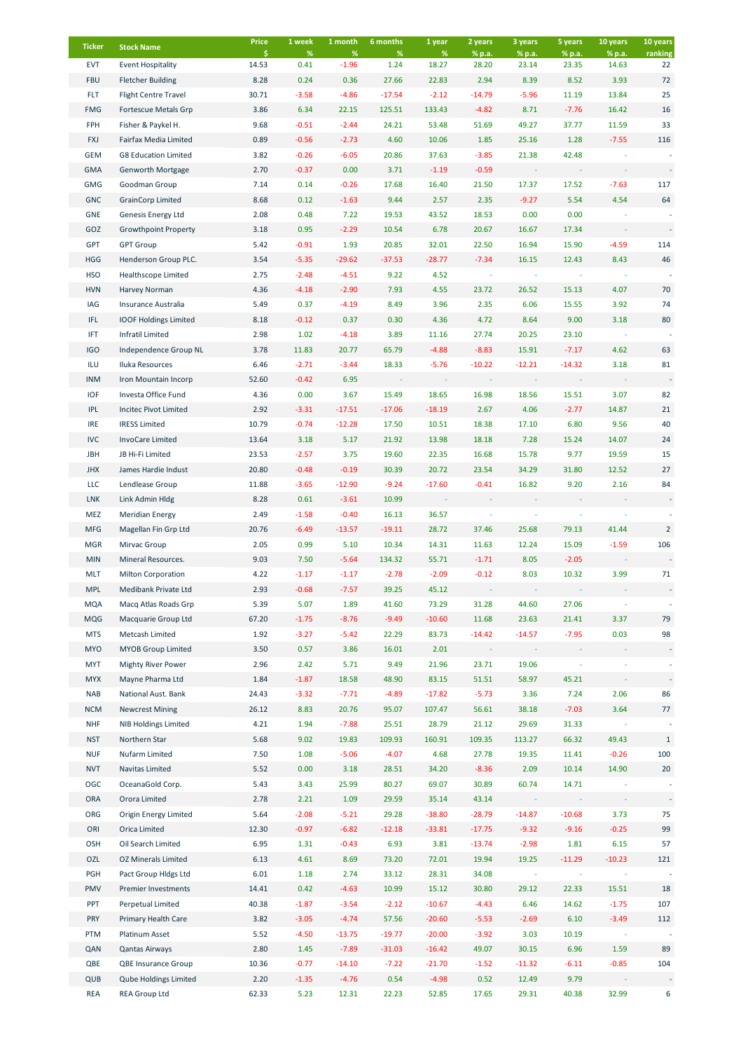| <b>Ticker</b>     | <b>Stock Name</b>                                    | Price<br>Ŝ.   | 1 week<br>%     | 1 month<br>%       | 6 months<br>%  | 1 year<br>%      | 2 years<br>% p.a. | 3 years<br>% p.a. | 5 years<br>% p.a. | 10 years<br>% p.a. | 10 years<br>ranking |
|-------------------|------------------------------------------------------|---------------|-----------------|--------------------|----------------|------------------|-------------------|-------------------|-------------------|--------------------|---------------------|
| <b>EVT</b>        | <b>Event Hospitality</b>                             | 14.53         | 0.41            | $-1.96$            | 1.24           | 18.27            | 28.20             | 23.14             | 23.35             | 14.63              | 22                  |
| <b>FBU</b>        | <b>Fletcher Building</b>                             | 8.28          | 0.24            | 0.36               | 27.66          | 22.83            | 2.94              | 8.39              | 8.52              | 3.93               | 72                  |
| <b>FLT</b>        | <b>Flight Centre Travel</b>                          | 30.71         | $-3.58$         | $-4.86$            | $-17.54$       | $-2.12$          | $-14.79$          | $-5.96$           | 11.19             | 13.84              | 25                  |
| <b>FMG</b>        | Fortescue Metals Grp                                 | 3.86          | 6.34            | 22.15              | 125.51         | 133.43           | $-4.82$           | 8.71              | $-7.76$           | 16.42              | 16                  |
| FPH               | Fisher & Paykel H.                                   | 9.68          | $-0.51$         | $-2.44$            | 24.21          | 53.48            | 51.69             | 49.27             | 37.77             | 11.59              | 33                  |
| <b>FXJ</b>        | Fairfax Media Limited                                | 0.89          | $-0.56$         | $-2.73$            | 4.60           | 10.06            | 1.85              | 25.16             | 1.28              | $-7.55$            | 116                 |
| <b>GEM</b>        | <b>G8 Education Limited</b>                          | 3.82          | $-0.26$         | $-6.05$            | 20.86          | 37.63            | $-3.85$           | 21.38             | 42.48             |                    |                     |
| <b>GMA</b>        | <b>Genworth Mortgage</b>                             | 2.70          | $-0.37$         | 0.00               | 3.71           | $-1.19$          | $-0.59$           |                   |                   |                    |                     |
| <b>GMG</b>        | Goodman Group                                        | 7.14          | 0.14            | $-0.26$            | 17.68          | 16.40            | 21.50             | 17.37             | 17.52             | $-7.63$            | 117                 |
| <b>GNC</b>        | <b>GrainCorp Limited</b>                             | 8.68          | 0.12            | $-1.63$            | 9.44           | 2.57             | 2.35              | $-9.27$           | 5.54              | 4.54               | 64                  |
| <b>GNE</b>        | Genesis Energy Ltd                                   | 2.08          | 0.48            | 7.22               | 19.53          | 43.52            | 18.53             | 0.00              | 0.00              |                    |                     |
| GOZ               | <b>Growthpoint Property</b>                          | 3.18          | 0.95            | $-2.29$            | 10.54          | 6.78             | 20.67             | 16.67             | 17.34             |                    |                     |
| <b>GPT</b>        | <b>GPT Group</b>                                     | 5.42          | $-0.91$         | 1.93               | 20.85          | 32.01            | 22.50             | 16.94             | 15.90             | $-4.59$            | 114                 |
| <b>HGG</b>        | Henderson Group PLC.                                 | 3.54          | $-5.35$         | $-29.62$           | $-37.53$       | $-28.77$         | $-7.34$           | 16.15             | 12.43             | 8.43               | 46                  |
| <b>HSO</b>        | <b>Healthscope Limited</b>                           | 2.75          | $-2.48$         | $-4.51$            | 9.22           | 4.52             |                   |                   |                   |                    |                     |
| <b>HVN</b>        | Harvey Norman                                        | 4.36          | $-4.18$         | $-2.90$            | 7.93           | 4.55             | 23.72             | 26.52             | 15.13             | 4.07               | 70                  |
| IAG               | Insurance Australia                                  | 5.49          | 0.37            | $-4.19$            | 8.49           | 3.96             | 2.35              | 6.06              | 15.55             | 3.92               | 74                  |
| IFL.              | <b>IOOF Holdings Limited</b>                         | 8.18          | $-0.12$         | 0.37               | 0.30           | 4.36             | 4.72              | 8.64              | 9.00              | 3.18               | 80                  |
| IFT               | <b>Infratil Limited</b>                              | 2.98          | 1.02            | $-4.18$            | 3.89           | 11.16            | 27.74             | 20.25             | 23.10             |                    |                     |
| <b>IGO</b>        | Independence Group NL                                | 3.78          | 11.83           | 20.77              | 65.79          | $-4.88$          | $-8.83$           | 15.91             | $-7.17$           | 4.62               | 63                  |
| ILU               | Iluka Resources                                      | 6.46          | $-2.71$         | $-3.44$            | 18.33          | $-5.76$          | $-10.22$          | $-12.21$          | $-14.32$          | 3.18               | 81                  |
| <b>INM</b>        | Iron Mountain Incorp                                 | 52.60         | $-0.42$         | 6.95               |                |                  |                   |                   |                   |                    |                     |
| <b>IOF</b>        | Investa Office Fund                                  | 4.36          | 0.00            | 3.67               | 15.49          | 18.65            | 16.98             | 18.56             | 15.51             | 3.07               | 82                  |
| <b>IPL</b>        | Incitec Pivot Limited                                | 2.92          | $-3.31$         | $-17.51$           | $-17.06$       | $-18.19$         | 2.67              | 4.06              | $-2.77$           | 14.87              | 21                  |
| <b>IRE</b>        | <b>IRESS Limited</b>                                 | 10.79         | $-0.74$         | $-12.28$           | 17.50          | 10.51            | 18.38             | 17.10             | 6.80              | 9.56               | 40                  |
| <b>IVC</b>        | InvoCare Limited                                     | 13.64         | 3.18            | 5.17               | 21.92          | 13.98            | 18.18             | 7.28              | 15.24             | 14.07              | 24                  |
| <b>JBH</b>        | JB Hi-Fi Limited                                     | 23.53         | $-2.57$         | 3.75               | 19.60          | 22.35            | 16.68             | 15.78             | 9.77              | 19.59              | 15                  |
| <b>JHX</b>        | James Hardie Indust                                  | 20.80         | $-0.48$         | $-0.19$            | 30.39          | 20.72            | 23.54             | 34.29             | 31.80             | 12.52              | 27                  |
| LLC               | Lendlease Group                                      | 11.88         | $-3.65$         | $-12.90$           | $-9.24$        | $-17.60$         | $-0.41$           | 16.82             | 9.20              | 2.16               | 84                  |
| <b>LNK</b><br>MEZ | Link Admin Hldg<br><b>Meridian Energy</b>            | 8.28<br>2.49  | 0.61<br>$-1.58$ | $-3.61$<br>$-0.40$ | 10.99<br>16.13 | 36.57            |                   |                   |                   |                    |                     |
| <b>MFG</b>        | Magellan Fin Grp Ltd                                 | 20.76         | $-6.49$         | $-13.57$           | $-19.11$       | 28.72            | 37.46             | 25.68             | 79.13             | 41.44              | $\overline{2}$      |
| <b>MGR</b>        | Mirvac Group                                         | 2.05          | 0.99            | 5.10               | 10.34          | 14.31            | 11.63             | 12.24             | 15.09             | $-1.59$            | 106                 |
| <b>MIN</b>        | Mineral Resources.                                   | 9.03          | 7.50            | $-5.64$            | 134.32         | 55.71            | $-1.71$           | 8.05              | $-2.05$           |                    |                     |
| <b>MLT</b>        | <b>Milton Corporation</b>                            | 4.22          | $-1.17$         | $-1.17$            | $-2.78$        | $-2.09$          | $-0.12$           | 8.03              | 10.32             | 3.99               | 71                  |
| <b>MPL</b>        | Medibank Private Ltd                                 | 2.93          | $-0.68$         | $-7.57$            | 39.25          | 45.12            |                   |                   |                   |                    |                     |
| <b>MQA</b>        | Macq Atlas Roads Grp                                 | 5.39          | 5.07            | 1.89               | 41.60          | 73.29            | 31.28             | 44.60             | 27.06             |                    |                     |
| <b>MQG</b>        | Macquarie Group Ltd                                  | 67.20         | $-1.75$         | $-8.76$            | $-9.49$        | $-10.60$         | 11.68             | 23.63             | 21.41             | 3.37               | 79                  |
| <b>MTS</b>        | Metcash Limited                                      | 1.92          | $-3.27$         | $-5.42$            | 22.29          | 83.73            | $-14.42$          | $-14.57$          | $-7.95$           | 0.03               | 98                  |
| <b>MYO</b>        | <b>MYOB Group Limited</b>                            | 3.50          | 0.57            | 3.86               | 16.01          | 2.01             |                   |                   |                   |                    |                     |
| <b>MYT</b>        | <b>Mighty River Power</b>                            | 2.96          | 2.42            | 5.71               | 9.49           | 21.96            | 23.71             | 19.06             |                   |                    |                     |
| <b>MYX</b>        | Mayne Pharma Ltd                                     | 1.84          | $-1.87$         | 18.58              | 48.90          | 83.15            | 51.51             | 58.97             | 45.21             |                    |                     |
| <b>NAB</b>        | National Aust. Bank                                  | 24.43         | $-3.32$         | $-7.71$            | $-4.89$        | $-17.82$         | $-5.73$           | 3.36              | 7.24              | 2.06               | 86                  |
| <b>NCM</b>        | <b>Newcrest Mining</b>                               | 26.12         | 8.83            | 20.76              | 95.07          | 107.47           | 56.61             | 38.18             | $-7.03$           | 3.64               | 77                  |
| <b>NHF</b>        | <b>NIB Holdings Limited</b>                          | 4.21          | 1.94            | $-7.88$            | 25.51          | 28.79            | 21.12             | 29.69             | 31.33             |                    |                     |
| <b>NST</b>        | Northern Star                                        | 5.68          | 9.02            | 19.83              | 109.93         | 160.91           | 109.35            | 113.27            | 66.32             | 49.43              | $\mathbf{1}$        |
| <b>NUF</b>        | Nufarm Limited                                       | 7.50          | 1.08            | $-5.06$            | $-4.07$        | 4.68             | 27.78             | 19.35             | 11.41             | $-0.26$            | 100                 |
| <b>NVT</b>        | Navitas Limited                                      | 5.52          | 0.00            | 3.18               | 28.51          | 34.20            | $-8.36$           | 2.09              | 10.14             | 14.90              | 20                  |
| OGC               | OceanaGold Corp.                                     | 5.43          | 3.43            | 25.99              | 80.27          | 69.07            | 30.89             | 60.74             | 14.71             |                    |                     |
| <b>ORA</b>        | Orora Limited                                        | 2.78          | 2.21            | 1.09               | 29.59          | 35.14            | 43.14             |                   |                   |                    |                     |
| ORG               | <b>Origin Energy Limited</b>                         | 5.64          | $-2.08$         | $-5.21$            | 29.28          | $-38.80$         | $-28.79$          | $-14.87$          | $-10.68$          | 3.73               | 75                  |
| ORI               | Orica Limited                                        | 12.30         | $-0.97$         | $-6.82$            | $-12.18$       | $-33.81$         | $-17.75$          | $-9.32$           | $-9.16$           | $-0.25$            | 99                  |
| OSH               | Oil Search Limited                                   | 6.95          | 1.31            | $-0.43$            | 6.93           | 3.81             | $-13.74$          | $-2.98$           | 1.81              | 6.15               | 57                  |
| OZL               | <b>OZ Minerals Limited</b>                           | 6.13          | 4.61            | 8.69               | 73.20          | 72.01            | 19.94             | 19.25             | $-11.29$          | $-10.23$           | 121                 |
| PGH               | Pact Group Hldgs Ltd                                 | 6.01          | 1.18            | 2.74               | 33.12          | 28.31            | 34.08             |                   |                   |                    |                     |
| PMV               | Premier Investments                                  | 14.41         | 0.42            | $-4.63$            | 10.99          | 15.12            | 30.80             | 29.12             | 22.33             | 15.51              | 18                  |
| PPT               | Perpetual Limited                                    | 40.38         | $-1.87$         | $-3.54$            | $-2.12$        | $-10.67$         | $-4.43$           | 6.46              | 14.62             | $-1.75$            | 107                 |
| PRY               | Primary Health Care                                  | 3.82          | $-3.05$         | $-4.74$            | 57.56          | $-20.60$         | $-5.53$           | $-2.69$           | 6.10              | $-3.49$            | 112                 |
| PTM               | Platinum Asset                                       | 5.52          | $-4.50$         | $-13.75$           | $-19.77$       | $-20.00$         | $-3.92$           | 3.03              | 10.19             |                    |                     |
| QAN               | <b>Qantas Airways</b>                                | 2.80          | 1.45            | $-7.89$            | $-31.03$       | $-16.42$         | 49.07             | 30.15             | 6.96              | 1.59               | 89                  |
| QBE               | <b>QBE Insurance Group</b>                           | 10.36         | $-0.77$         | $-14.10$           | $-7.22$        | $-21.70$         | $-1.52$           | $-11.32$          | $-6.11$           | $-0.85$            | 104                 |
| QUB<br><b>REA</b> | <b>Qube Holdings Limited</b><br><b>REA Group Ltd</b> | 2.20<br>62.33 | $-1.35$<br>5.23 | $-4.76$<br>12.31   | 0.54<br>22.23  | $-4.98$<br>52.85 | 0.52<br>17.65     | 12.49<br>29.31    | 9.79<br>40.38     | 32.99              | 6                   |
|                   |                                                      |               |                 |                    |                |                  |                   |                   |                   |                    |                     |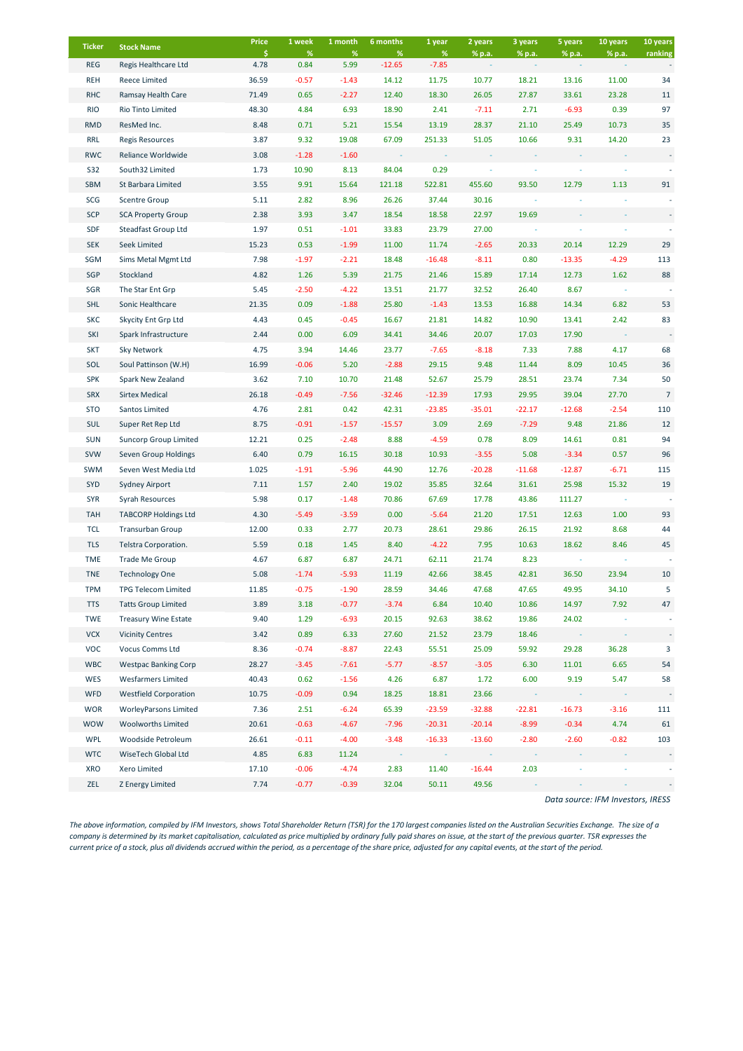| <b>Ticker</b> | <b>Stock Name</b>            | Price      | 1 week       | 1 month      | 6 months         | 1 year          | 2 years  | 3 years  | 5 years  | 10 years | 10 years       |
|---------------|------------------------------|------------|--------------|--------------|------------------|-----------------|----------|----------|----------|----------|----------------|
| <b>REG</b>    | Regis Healthcare Ltd         | \$<br>4.78 | $\%$<br>0.84 | $\%$<br>5.99 | $\%$<br>$-12.65$ | $\%$<br>$-7.85$ | % p.a.   | % p.a.   | % p.a.   | % p.a.   | ranking        |
| <b>REH</b>    | Reece Limited                | 36.59      | $-0.57$      | $-1.43$      | 14.12            | 11.75           | 10.77    | 18.21    | 13.16    | 11.00    | 34             |
| <b>RHC</b>    | Ramsay Health Care           | 71.49      | 0.65         | $-2.27$      | 12.40            | 18.30           | 26.05    | 27.87    | 33.61    | 23.28    | 11             |
| <b>RIO</b>    | Rio Tinto Limited            | 48.30      | 4.84         | 6.93         | 18.90            | 2.41            | $-7.11$  | 2.71     | $-6.93$  | 0.39     | 97             |
| <b>RMD</b>    | ResMed Inc.                  | 8.48       | 0.71         | 5.21         | 15.54            | 13.19           | 28.37    | 21.10    | 25.49    | 10.73    | 35             |
| <b>RRL</b>    | <b>Regis Resources</b>       | 3.87       | 9.32         | 19.08        | 67.09            | 251.33          | 51.05    | 10.66    | 9.31     | 14.20    | 23             |
| <b>RWC</b>    | Reliance Worldwide           | 3.08       | $-1.28$      | $-1.60$      |                  |                 |          |          |          |          |                |
| S32           | South32 Limited              | 1.73       | 10.90        | 8.13         | 84.04            | 0.29            |          |          |          |          |                |
| SBM           | St Barbara Limited           | 3.55       | 9.91         | 15.64        | 121.18           | 522.81          | 455.60   | 93.50    | 12.79    | 1.13     | 91             |
| SCG           | <b>Scentre Group</b>         | 5.11       | 2.82         | 8.96         | 26.26            | 37.44           | 30.16    |          |          |          |                |
| <b>SCP</b>    | <b>SCA Property Group</b>    | 2.38       | 3.93         | 3.47         | 18.54            | 18.58           | 22.97    | 19.69    |          |          |                |
| SDF           | Steadfast Group Ltd          | 1.97       | 0.51         | $-1.01$      | 33.83            | 23.79           | 27.00    |          |          |          |                |
| <b>SEK</b>    | Seek Limited                 | 15.23      | 0.53         | $-1.99$      | 11.00            | 11.74           | $-2.65$  | 20.33    | 20.14    | 12.29    | 29             |
| SGM           | Sims Metal Mgmt Ltd          | 7.98       | $-1.97$      | $-2.21$      | 18.48            | $-16.48$        | $-8.11$  | 0.80     | $-13.35$ | $-4.29$  | 113            |
| SGP           | Stockland                    | 4.82       | 1.26         | 5.39         | 21.75            | 21.46           | 15.89    | 17.14    | 12.73    | 1.62     | 88             |
| SGR           | The Star Ent Grp             | 5.45       | $-2.50$      | $-4.22$      | 13.51            | 21.77           | 32.52    | 26.40    | 8.67     |          |                |
| <b>SHL</b>    | Sonic Healthcare             | 21.35      | 0.09         | $-1.88$      | 25.80            | $-1.43$         | 13.53    | 16.88    | 14.34    | 6.82     | 53             |
| <b>SKC</b>    | Skycity Ent Grp Ltd          | 4.43       | 0.45         | $-0.45$      | 16.67            | 21.81           | 14.82    | 10.90    | 13.41    | 2.42     | 83             |
| SKI           | Spark Infrastructure         | 2.44       | 0.00         | 6.09         | 34.41            | 34.46           | 20.07    | 17.03    | 17.90    |          |                |
| <b>SKT</b>    | Sky Network                  | 4.75       | 3.94         | 14.46        | 23.77            | $-7.65$         | $-8.18$  | 7.33     | 7.88     | 4.17     | 68             |
| SOL           | Soul Pattinson (W.H)         | 16.99      | $-0.06$      | 5.20         | $-2.88$          | 29.15           | 9.48     | 11.44    | 8.09     | 10.45    | 36             |
| <b>SPK</b>    | Spark New Zealand            | 3.62       | 7.10         | 10.70        | 21.48            | 52.67           | 25.79    | 28.51    | 23.74    | 7.34     | 50             |
| <b>SRX</b>    | <b>Sirtex Medical</b>        | 26.18      | $-0.49$      | $-7.56$      | $-32.46$         | $-12.39$        | 17.93    | 29.95    | 39.04    | 27.70    | $\overline{7}$ |
| <b>STO</b>    | Santos Limited               | 4.76       | 2.81         | 0.42         | 42.31            | $-23.85$        | $-35.01$ | $-22.17$ | $-12.68$ | $-2.54$  | 110            |
| <b>SUL</b>    | Super Ret Rep Ltd            | 8.75       | $-0.91$      | $-1.57$      | $-15.57$         | 3.09            | 2.69     | $-7.29$  | 9.48     | 21.86    | 12             |
| <b>SUN</b>    | <b>Suncorp Group Limited</b> | 12.21      | 0.25         | $-2.48$      | 8.88             | $-4.59$         | 0.78     | 8.09     | 14.61    | 0.81     | 94             |
| <b>SVW</b>    | Seven Group Holdings         | 6.40       | 0.79         | 16.15        | 30.18            | 10.93           | $-3.55$  | 5.08     | $-3.34$  | 0.57     | 96             |
| <b>SWM</b>    | Seven West Media Ltd         | 1.025      | $-1.91$      | $-5.96$      | 44.90            | 12.76           | $-20.28$ | $-11.68$ | -12.87   | $-6.71$  | 115            |
| <b>SYD</b>    | Sydney Airport               | 7.11       | 1.57         | 2.40         | 19.02            | 35.85           | 32.64    | 31.61    | 25.98    | 15.32    | 19             |
| <b>SYR</b>    | Syrah Resources              | 5.98       | 0.17         | $-1.48$      | 70.86            | 67.69           | 17.78    | 43.86    | 111.27   |          |                |
| <b>TAH</b>    | <b>TABCORP Holdings Ltd</b>  | 4.30       | $-5.49$      | $-3.59$      | 0.00             | $-5.64$         | 21.20    | 17.51    | 12.63    | 1.00     | 93             |
| TCL           | <b>Transurban Group</b>      | 12.00      | 0.33         | 2.77         | 20.73            | 28.61           | 29.86    | 26.15    | 21.92    | 8.68     | 44             |
| <b>TLS</b>    | Telstra Corporation.         | 5.59       | 0.18         | 1.45         | 8.40             | $-4.22$         | 7.95     | 10.63    | 18.62    | 8.46     | 45             |
| <b>TME</b>    | Trade Me Group               | 4.67       | 6.87         | 6.87         | 24.71            | 62.11           | 21.74    | 8.23     |          |          |                |
| <b>TNE</b>    | <b>Technology One</b>        | 5.08       | $-1.74$      | $-5.93$      | 11.19            | 42.66           | 38.45    | 42.81    | 36.50    | 23.94    | 10             |
| <b>TPM</b>    | <b>TPG Telecom Limited</b>   | 11.85      | $-0.75$      | $-1.90$      | 28.59            | 34.46           | 47.68    | 47.65    | 49.95    | 34.10    | 5              |
| <b>TTS</b>    | <b>Tatts Group Limited</b>   | 3.89       | 3.18         | $-0.77$      | $-3.74$          | 6.84            | 10.40    | 10.86    | 14.97    | 7.92     | 47             |
| <b>TWE</b>    | <b>Treasury Wine Estate</b>  | 9.40       | 1.29         | $-6.93$      | 20.15            | 92.63           | 38.62    | 19.86    | 24.02    |          |                |
| <b>VCX</b>    | <b>Vicinity Centres</b>      | 3.42       | 0.89         | 6.33         | 27.60            | 21.52           | 23.79    | 18.46    |          |          |                |
| VOC           | Vocus Comms Ltd              | 8.36       | $-0.74$      | $-8.87$      | 22.43            | 55.51           | 25.09    | 59.92    | 29.28    | 36.28    | 3              |
| <b>WBC</b>    | <b>Westpac Banking Corp</b>  | 28.27      | $-3.45$      | $-7.61$      | $-5.77$          | $-8.57$         | $-3.05$  | 6.30     | 11.01    | 6.65     | 54             |
| WES           | <b>Wesfarmers Limited</b>    | 40.43      | 0.62         | $-1.56$      | 4.26             | 6.87            | 1.72     | 6.00     | 9.19     | 5.47     | 58             |
| <b>WFD</b>    | <b>Westfield Corporation</b> | 10.75      | $-0.09$      | 0.94         | 18.25            | 18.81           | 23.66    | $\sim$   |          |          |                |
| <b>WOR</b>    | <b>WorleyParsons Limited</b> | 7.36       | 2.51         | $-6.24$      | 65.39            | $-23.59$        | $-32.88$ | $-22.81$ | $-16.73$ | $-3.16$  | 111            |
| <b>WOW</b>    | <b>Woolworths Limited</b>    | 20.61      | $-0.63$      | $-4.67$      | $-7.96$          | $-20.31$        | $-20.14$ | $-8.99$  | $-0.34$  | 4.74     | 61             |
| <b>WPL</b>    | Woodside Petroleum           | 26.61      | $-0.11$      | $-4.00$      | $-3.48$          | $-16.33$        | $-13.60$ | $-2.80$  | $-2.60$  | $-0.82$  | 103            |
| <b>WTC</b>    | WiseTech Global Ltd          | 4.85       | 6.83         | 11.24        |                  |                 |          |          |          |          |                |
| XRO           | Xero Limited                 | 17.10      | $-0.06$      | $-4.74$      | 2.83             | 11.40           | $-16.44$ | 2.03     |          |          |                |
| ZEL           | Z Energy Limited             | 7.74       | $-0.77$      | $-0.39$      | 32.04            | 50.11           | 49.56    |          |          |          |                |

*Data source: IFM Investors, IRESS*

*The above information, compiled by IFM Investors, shows Total Shareholder Return (TSR) for the 170 largest companies listed on the Australian Securities Exchange. The size of a company is determined by its market capitalisation, calculated as price multiplied by ordinary fully paid shares on issue, at the start of the previous quarter. TSR expresses the current price of a stock, plus all dividends accrued within the period, as a percentage of the share price, adjusted for any capital events, at the start of the period.*